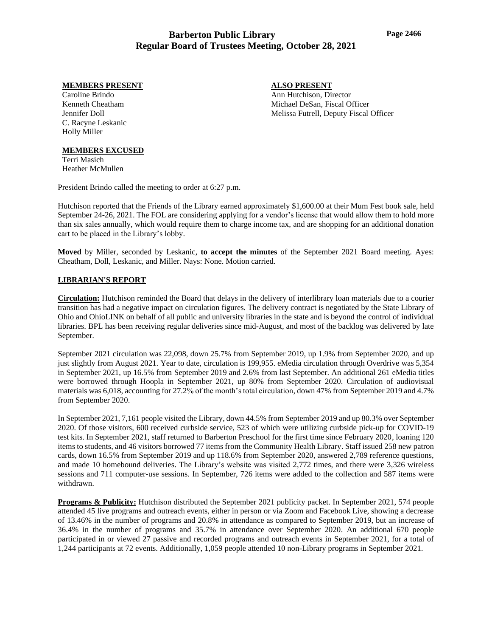#### **MEMBERS PRESENT**

**ALSO PRESENT**

Ann Hutchison, Director Michael DeSan, Fiscal Officer Melissa Futrell, Deputy Fiscal Officer

Caroline Brindo Kenneth Cheatham Jennifer Doll C. Racyne Leskanic Holly Miller

### **MEMBERS EXCUSED**

Terri Masich Heather McMullen

President Brindo called the meeting to order at 6:27 p.m.

Hutchison reported that the Friends of the Library earned approximately \$1,600.00 at their Mum Fest book sale, held September 24-26, 2021. The FOL are considering applying for a vendor's license that would allow them to hold more than six sales annually, which would require them to charge income tax, and are shopping for an additional donation cart to be placed in the Library's lobby.

**Moved** by Miller, seconded by Leskanic, **to accept the minutes** of the September 2021 Board meeting. Ayes: Cheatham, Doll, Leskanic, and Miller. Nays: None. Motion carried.

#### **LIBRARIAN'S REPORT**

**Circulation:** Hutchison reminded the Board that delays in the delivery of interlibrary loan materials due to a courier transition has had a negative impact on circulation figures. The delivery contract is negotiated by the State Library of Ohio and OhioLINK on behalf of all public and university libraries in the state and is beyond the control of individual libraries. BPL has been receiving regular deliveries since mid-August, and most of the backlog was delivered by late September.

September 2021 circulation was 22,098, down 25.7% from September 2019, up 1.9% from September 2020, and up just slightly from August 2021. Year to date, circulation is 199,955. eMedia circulation through Overdrive was 5,354 in September 2021, up 16.5% from September 2019 and 2.6% from last September. An additional 261 eMedia titles were borrowed through Hoopla in September 2021, up 80% from September 2020. Circulation of audiovisual materials was 6,018, accounting for 27.2% of the month's total circulation, down 47% from September 2019 and 4.7% from September 2020.

In September 2021, 7,161 people visited the Library, down 44.5% from September 2019 and up 80.3% over September 2020. Of those visitors, 600 received curbside service, 523 of which were utilizing curbside pick-up for COVID-19 test kits. In September 2021, staff returned to Barberton Preschool for the first time since February 2020, loaning 120 items to students, and 46 visitors borrowed 77 items from the Community Health Library. Staff issued 258 new patron cards, down 16.5% from September 2019 and up 118.6% from September 2020, answered 2,789 reference questions, and made 10 homebound deliveries. The Library's website was visited 2,772 times, and there were 3,326 wireless sessions and 711 computer-use sessions. In September, 726 items were added to the collection and 587 items were withdrawn.

**Programs & Publicity:** Hutchison distributed the September 2021 publicity packet. In September 2021, 574 people attended 45 live programs and outreach events, either in person or via Zoom and Facebook Live, showing a decrease of 13.46% in the number of programs and 20.8% in attendance as compared to September 2019, but an increase of 36.4% in the number of programs and 35.7% in attendance over September 2020. An additional 670 people participated in or viewed 27 passive and recorded programs and outreach events in September 2021, for a total of 1,244 participants at 72 events. Additionally, 1,059 people attended 10 non-Library programs in September 2021.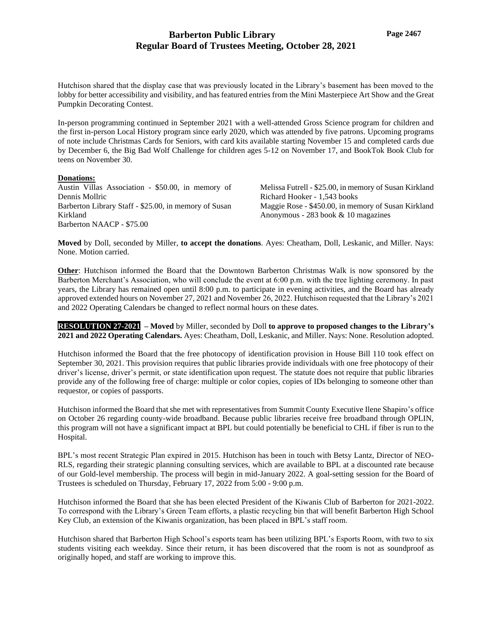Hutchison shared that the display case that was previously located in the Library's basement has been moved to the lobby for better accessibility and visibility, and has featured entries from the Mini Masterpiece Art Show and the Great Pumpkin Decorating Contest.

In-person programming continued in September 2021 with a well-attended Gross Science program for children and the first in-person Local History program since early 2020, which was attended by five patrons. Upcoming programs of note include Christmas Cards for Seniors, with card kits available starting November 15 and completed cards due by December 6, the Big Bad Wolf Challenge for children ages 5-12 on November 17, and BookTok Book Club for teens on November 30.

#### **Donations:**

Austin Villas Association - \$50.00, in memory of Dennis Mollric Barberton Library Staff - \$25.00, in memory of Susan Kirkland Barberton NAACP - \$75.00

Melissa Futrell - \$25.00, in memory of Susan Kirkland Richard Hooker - 1,543 books Maggie Rose - \$450.00, in memory of Susan Kirkland Anonymous - 283 book & 10 magazines

**Moved** by Doll, seconded by Miller, **to accept the donations**. Ayes: Cheatham, Doll, Leskanic, and Miller. Nays: None. Motion carried.

**Other**: Hutchison informed the Board that the Downtown Barberton Christmas Walk is now sponsored by the Barberton Merchant's Association, who will conclude the event at 6:00 p.m. with the tree lighting ceremony. In past years, the Library has remained open until 8:00 p.m. to participate in evening activities, and the Board has already approved extended hours on November 27, 2021 and November 26, 2022. Hutchison requested that the Library's 2021 and 2022 Operating Calendars be changed to reflect normal hours on these dates.

**RESOLUTION 27-20218– Moved** by Miller, seconded by Doll **to approve to proposed changes to the Library's 2021 and 2022 Operating Calendars.** Ayes: Cheatham, Doll, Leskanic, and Miller. Nays: None. Resolution adopted.

Hutchison informed the Board that the free photocopy of identification provision in House Bill 110 took effect on September 30, 2021. This provision requires that public libraries provide individuals with one free photocopy of their driver's license, driver's permit, or state identification upon request. The statute does not require that public libraries provide any of the following free of charge: multiple or color copies, copies of IDs belonging to someone other than requestor, or copies of passports.

Hutchison informed the Board that she met with representatives from Summit County Executive Ilene Shapiro's office on October 26 regarding county-wide broadband. Because public libraries receive free broadband through OPLIN, this program will not have a significant impact at BPL but could potentially be beneficial to CHL if fiber is run to the Hospital.

BPL's most recent Strategic Plan expired in 2015. Hutchison has been in touch with Betsy Lantz, Director of NEO-RLS, regarding their strategic planning consulting services, which are available to BPL at a discounted rate because of our Gold-level membership. The process will begin in mid-January 2022. A goal-setting session for the Board of Trustees is scheduled on Thursday, February 17, 2022 from 5:00 - 9:00 p.m.

Hutchison informed the Board that she has been elected President of the Kiwanis Club of Barberton for 2021-2022. To correspond with the Library's Green Team efforts, a plastic recycling bin that will benefit Barberton High School Key Club, an extension of the Kiwanis organization, has been placed in BPL's staff room.

Hutchison shared that Barberton High School's esports team has been utilizing BPL's Esports Room, with two to six students visiting each weekday. Since their return, it has been discovered that the room is not as soundproof as originally hoped, and staff are working to improve this.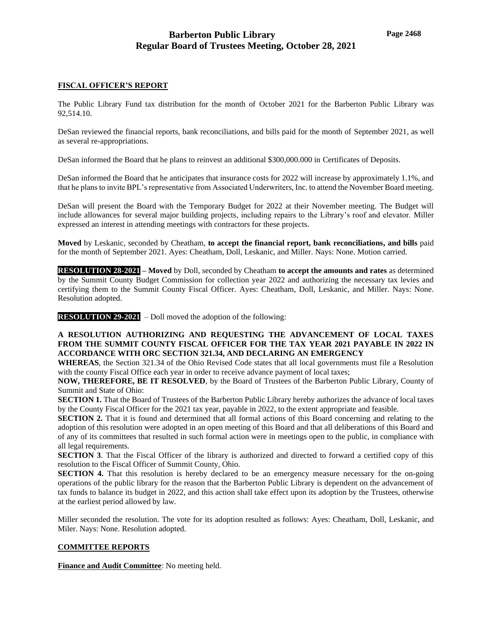### **FISCAL OFFICER'S REPORT**

The Public Library Fund tax distribution for the month of October 2021 for the Barberton Public Library was 92,514.10.

DeSan reviewed the financial reports, bank reconciliations, and bills paid for the month of September 2021, as well as several re-appropriations.

DeSan informed the Board that he plans to reinvest an additional \$300,000.000 in Certificates of Deposits.

DeSan informed the Board that he anticipates that insurance costs for 2022 will increase by approximately 1.1%, and that he plans to invite BPL's representative from Associated Underwriters, Inc. to attend the November Board meeting.

DeSan will present the Board with the Temporary Budget for 2022 at their November meeting. The Budget will include allowances for several major building projects, including repairs to the Library's roof and elevator. Miller expressed an interest in attending meetings with contractors for these projects.

**Moved** by Leskanic, seconded by Cheatham, **to accept the financial report, bank reconciliations, and bills** paid for the month of September 2021. Ayes: Cheatham, Doll, Leskanic, and Miller. Nays: None. Motion carried.

**RESOLUTION 28-2021 – Moved** by Doll, seconded by Cheatham **to accept the amounts and rates** as determined by the Summit County Budget Commission for collection year 2022 and authorizing the necessary tax levies and certifying them to the Summit County Fiscal Officer. Ayes: Cheatham, Doll, Leskanic, and Miller. Nays: None. Resolution adopted.

**RESOLUTION 29-2021** – Doll moved the adoption of the following:

**A RESOLUTION AUTHORIZING AND REQUESTING THE ADVANCEMENT OF LOCAL TAXES FROM THE SUMMIT COUNTY FISCAL OFFICER FOR THE TAX YEAR 2021 PAYABLE IN 2022 IN ACCORDANCE WITH ORC SECTION 321.34, AND DECLARING AN EMERGENCY**

**WHEREAS**, the Section 321.34 of the Ohio Revised Code states that all local governments must file a Resolution with the county Fiscal Office each year in order to receive advance payment of local taxes;

**NOW, THEREFORE, BE IT RESOLVED**, by the Board of Trustees of the Barberton Public Library, County of Summit and State of Ohio:

**SECTION 1.** That the Board of Trustees of the Barberton Public Library hereby authorizes the advance of local taxes by the County Fiscal Officer for the 2021 tax year, payable in 2022, to the extent appropriate and feasible.

**SECTION 2.** That it is found and determined that all formal actions of this Board concerning and relating to the adoption of this resolution were adopted in an open meeting of this Board and that all deliberations of this Board and of any of its committees that resulted in such formal action were in meetings open to the public, in compliance with all legal requirements.

**SECTION 3**. That the Fiscal Officer of the library is authorized and directed to forward a certified copy of this resolution to the Fiscal Officer of Summit County, Ohio.

**SECTION 4.** That this resolution is hereby declared to be an emergency measure necessary for the on-going operations of the public library for the reason that the Barberton Public Library is dependent on the advancement of tax funds to balance its budget in 2022, and this action shall take effect upon its adoption by the Trustees, otherwise at the earliest period allowed by law.

Miller seconded the resolution. The vote for its adoption resulted as follows: Ayes: Cheatham, Doll, Leskanic, and Miler. Nays: None. Resolution adopted.

#### **COMMITTEE REPORTS**

**Finance and Audit Committee**: No meeting held.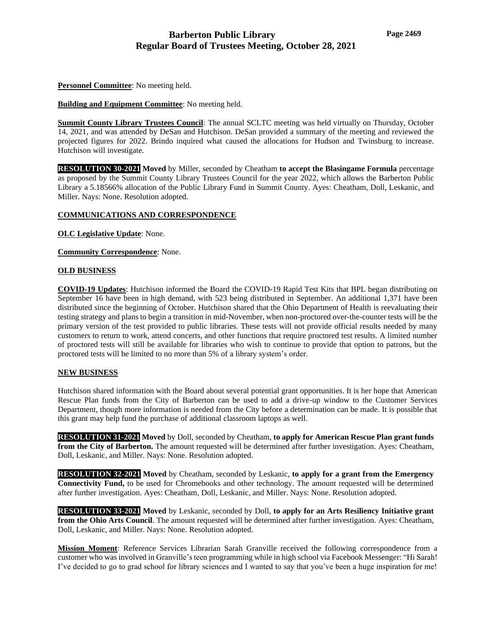**Personnel Committee**: No meeting held.

**Building and Equipment Committee**: No meeting held.

**Summit County Library Trustees Council**: The annual SCLTC meeting was held virtually on Thursday, October 14, 2021, and was attended by DeSan and Hutchison. DeSan provided a summary of the meeting and reviewed the projected figures for 2022. Brindo inquired what caused the allocations for Hudson and Twinsburg to increase. Hutchison will investigate.

**RESOLUTION 30-2021 Moved** by Miller, seconded by Cheatham **to accept the Blasingame Formula** percentage as proposed by the Summit County Library Trustees Council for the year 2022, which allows the Barberton Public Library a 5.18566% allocation of the Public Library Fund in Summit County. Ayes: Cheatham, Doll, Leskanic, and Miller. Nays: None. Resolution adopted.

### **COMMUNICATIONS AND CORRESPONDENCE**

**OLC Legislative Update**: None.

**Community Correspondence**: None.

### **OLD BUSINESS**

**COVID-19 Updates**: Hutchison informed the Board the COVID-19 Rapid Test Kits that BPL began distributing on September 16 have been in high demand, with 523 being distributed in September. An additional 1,371 have been distributed since the beginning of October. Hutchison shared that the Ohio Department of Health is reevaluating their testing strategy and plans to begin a transition in mid-November, when non-proctored over-the-counter tests will be the primary version of the test provided to public libraries. These tests will not provide official results needed by many customers to return to work, attend concerts, and other functions that require proctored test results. A limited number of proctored tests will still be available for libraries who wish to continue to provide that option to patrons, but the proctored tests will be limited to no more than 5% of a library system's order.

### **NEW BUSINESS**

Hutchison shared information with the Board about several potential grant opportunities. It is her hope that American Rescue Plan funds from the City of Barberton can be used to add a drive-up window to the Customer Services Department, though more information is needed from the City before a determination can be made. It is possible that this grant may help fund the purchase of additional classroom laptops as well.

**RESOLUTION 31-2021 Moved** by Doll, seconded by Cheatham, **to apply for American Rescue Plan grant funds from the City of Barberton.** The amount requested will be determined after further investigation. Ayes: Cheatham, Doll, Leskanic, and Miller. Nays: None. Resolution adopted.

**RESOLUTION 32-2021 Moved** by Cheatham, seconded by Leskanic, **to apply for a grant from the Emergency Connectivity Fund,** to be used for Chromebooks and other technology. The amount requested will be determined after further investigation. Ayes: Cheatham, Doll, Leskanic, and Miller. Nays: None. Resolution adopted.

**RESOLUTION 33-2021 Moved** by Leskanic, seconded by Doll, **to apply for an Arts Resiliency Initiative grant from the Ohio Arts Council**. The amount requested will be determined after further investigation. Ayes: Cheatham, Doll, Leskanic, and Miller. Nays: None. Resolution adopted.

**Mission Moment**: Reference Services Librarian Sarah Granville received the following correspondence from a customer who was involved in Granville's teen programming while in high school via Facebook Messenger: "Hi Sarah! I've decided to go to grad school for library sciences and I wanted to say that you've been a huge inspiration for me!